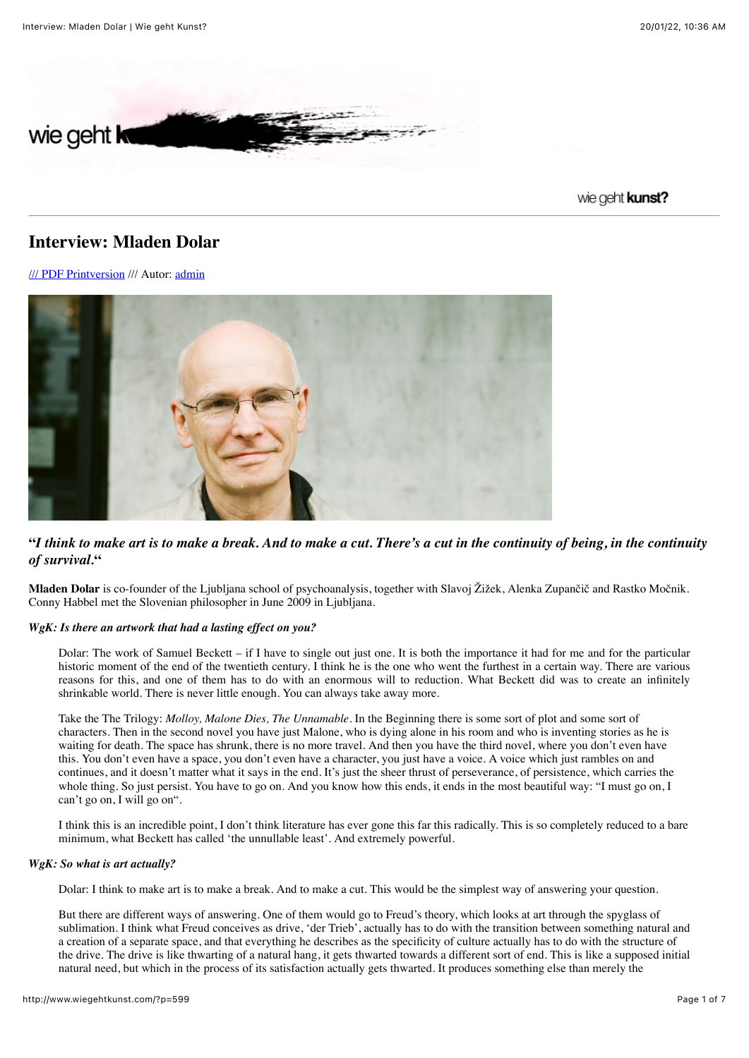

## wie geht kunst?

# **Interview: Mladen Dolar**

[/// PDF Printversion](http://www.wiegehtkunst.com/?p=599&article2pdf=1) /// Autor: [admin](http://www.wiegehtkunst.com/?author=1)



## **"***I think to make art is to make a break. And to make a cut. There's a cut in the continuity of being, in the continuity of survival.***"**

**Mladen Dolar** is co-founder of the Ljubljana school of psychoanalysis, together with Slavoj Žižek, Alenka Zupančič and Rastko Močnik. Conny Habbel met the Slovenian philosopher in June 2009 in Ljubljana.

## *WgK: Is there an artwork that had a lasting effect on you?*

Dolar: The work of Samuel Beckett – if I have to single out just one. It is both the importance it had for me and for the particular historic moment of the end of the twentieth century. I think he is the one who went the furthest in a certain way. There are various reasons for this, and one of them has to do with an enormous will to reduction. What Beckett did was to create an infinitely shrinkable world. There is never little enough. You can always take away more.

Take the The Trilogy: *Molloy, Malone Dies, The Unnamable*. In the Beginning there is some sort of plot and some sort of characters. Then in the second novel you have just Malone, who is dying alone in his room and who is inventing stories as he is waiting for death. The space has shrunk, there is no more travel. And then you have the third novel, where you don't even have this. You don't even have a space, you don't even have a character, you just have a voice. A voice which just rambles on and continues, and it doesn't matter what it says in the end. It's just the sheer thrust of perseverance, of persistence, which carries the whole thing. So just persist. You have to go on. And you know how this ends, it ends in the most beautiful way: "I must go on, I can't go on, I will go on".

I think this is an incredible point, I don't think literature has ever gone this far this radically. This is so completely reduced to a bare minimum, what Beckett has called 'the unnullable least'. And extremely powerful.

#### *WgK: So what is art actually?*

Dolar: I think to make art is to make a break. And to make a cut. This would be the simplest way of answering your question.

But there are different ways of answering. One of them would go to Freud's theory, which looks at art through the spyglass of sublimation. I think what Freud conceives as drive, 'der Trieb', actually has to do with the transition between something natural and a creation of a separate space, and that everything he describes as the specificity of culture actually has to do with the structure of the drive. The drive is like thwarting of a natural hang, it gets thwarted towards a different sort of end. This is like a supposed initial natural need, but which in the process of its satisfaction actually gets thwarted. It produces something else than merely the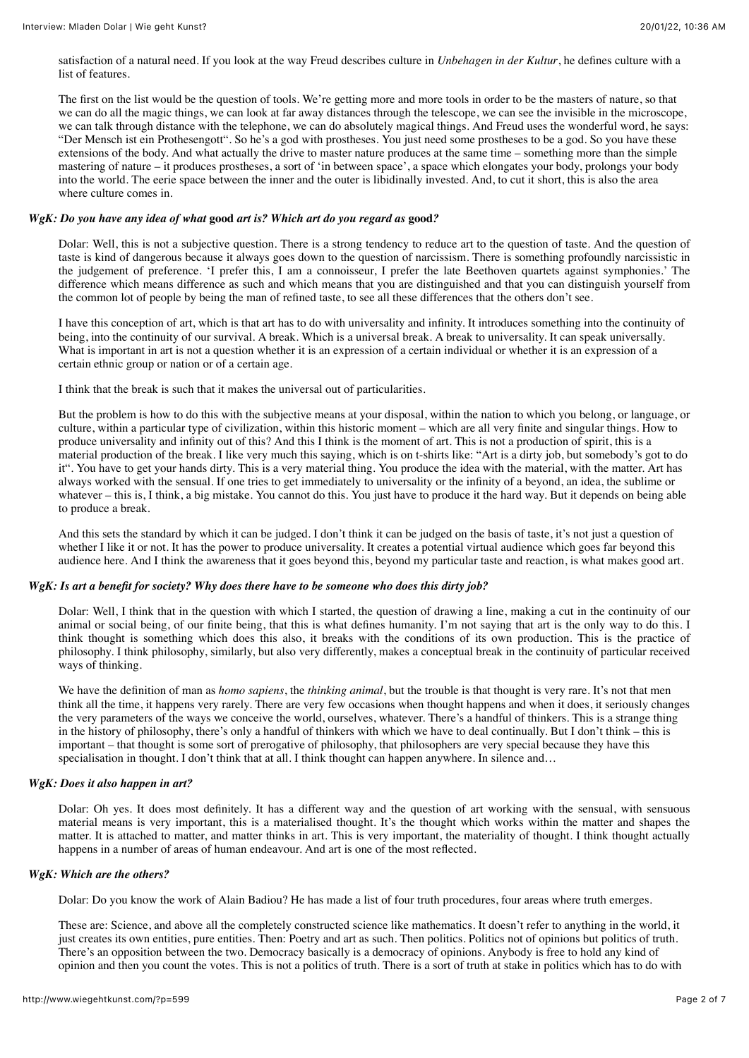satisfaction of a natural need. If you look at the way Freud describes culture in *Unbehagen in der Kultur*, he defines culture with a list of features.

The first on the list would be the question of tools. We're getting more and more tools in order to be the masters of nature, so that we can do all the magic things, we can look at far away distances through the telescope, we can see the invisible in the microscope, we can talk through distance with the telephone, we can do absolutely magical things. And Freud uses the wonderful word, he says: "Der Mensch ist ein Prothesengott". So he's a god with prostheses. You just need some prostheses to be a god. So you have these extensions of the body. And what actually the drive to master nature produces at the same time – something more than the simple mastering of nature – it produces prostheses, a sort of 'in between space', a space which elongates your body, prolongs your body into the world. The eerie space between the inner and the outer is libidinally invested. And, to cut it short, this is also the area where culture comes in.

#### *WgK: Do you have any idea of what* **good** *art is? Which art do you regard as* **good***?*

Dolar: Well, this is not a subjective question. There is a strong tendency to reduce art to the question of taste. And the question of taste is kind of dangerous because it always goes down to the question of narcissism. There is something profoundly narcissistic in the judgement of preference. 'I prefer this, I am a connoisseur, I prefer the late Beethoven quartets against symphonies.' The difference which means difference as such and which means that you are distinguished and that you can distinguish yourself from the common lot of people by being the man of refined taste, to see all these differences that the others don't see.

I have this conception of art, which is that art has to do with universality and infinity. It introduces something into the continuity of being, into the continuity of our survival. A break. Which is a universal break. A break to universality. It can speak universally. What is important in art is not a question whether it is an expression of a certain individual or whether it is an expression of a certain ethnic group or nation or of a certain age.

I think that the break is such that it makes the universal out of particularities.

But the problem is how to do this with the subjective means at your disposal, within the nation to which you belong, or language, or culture, within a particular type of civilization, within this historic moment – which are all very finite and singular things. How to produce universality and infinity out of this? And this I think is the moment of art. This is not a production of spirit, this is a material production of the break. I like very much this saying, which is on t-shirts like: "Art is a dirty job, but somebody's got to do it". You have to get your hands dirty. This is a very material thing. You produce the idea with the material, with the matter. Art has always worked with the sensual. If one tries to get immediately to universality or the infinity of a beyond, an idea, the sublime or whatever – this is, I think, a big mistake. You cannot do this. You just have to produce it the hard way. But it depends on being able to produce a break.

And this sets the standard by which it can be judged. I don't think it can be judged on the basis of taste, it's not just a question of whether I like it or not. It has the power to produce universality. It creates a potential virtual audience which goes far beyond this audience here. And I think the awareness that it goes beyond this, beyond my particular taste and reaction, is what makes good art.

## *WgK: Is art a benefit for society? Why does there have to be someone who does this dirty job?*

Dolar: Well, I think that in the question with which I started, the question of drawing a line, making a cut in the continuity of our animal or social being, of our finite being, that this is what defines humanity. I'm not saying that art is the only way to do this. I think thought is something which does this also, it breaks with the conditions of its own production. This is the practice of philosophy. I think philosophy, similarly, but also very differently, makes a conceptual break in the continuity of particular received ways of thinking.

We have the definition of man as *homo sapiens*, the *thinking animal*, but the trouble is that thought is very rare. It's not that men think all the time, it happens very rarely. There are very few occasions when thought happens and when it does, it seriously changes the very parameters of the ways we conceive the world, ourselves, whatever. There's a handful of thinkers. This is a strange thing in the history of philosophy, there's only a handful of thinkers with which we have to deal continually. But I don't think – this is important – that thought is some sort of prerogative of philosophy, that philosophers are very special because they have this specialisation in thought. I don't think that at all. I think thought can happen anywhere. In silence and...

#### *WgK: Does it also happen in art?*

Dolar: Oh yes. It does most definitely. It has a different way and the question of art working with the sensual, with sensuous material means is very important, this is a materialised thought. It's the thought which works within the matter and shapes the matter. It is attached to matter, and matter thinks in art. This is very important, the materiality of thought. I think thought actually happens in a number of areas of human endeavour. And art is one of the most reflected.

#### *WgK: Which are the others?*

Dolar: Do you know the work of Alain Badiou? He has made a list of four truth procedures, four areas where truth emerges.

These are: Science, and above all the completely constructed science like mathematics. It doesn't refer to anything in the world, it just creates its own entities, pure entities. Then: Poetry and art as such. Then politics. Politics not of opinions but politics of truth. There's an opposition between the two. Democracy basically is a democracy of opinions. Anybody is free to hold any kind of opinion and then you count the votes. This is not a politics of truth. There is a sort of truth at stake in politics which has to do with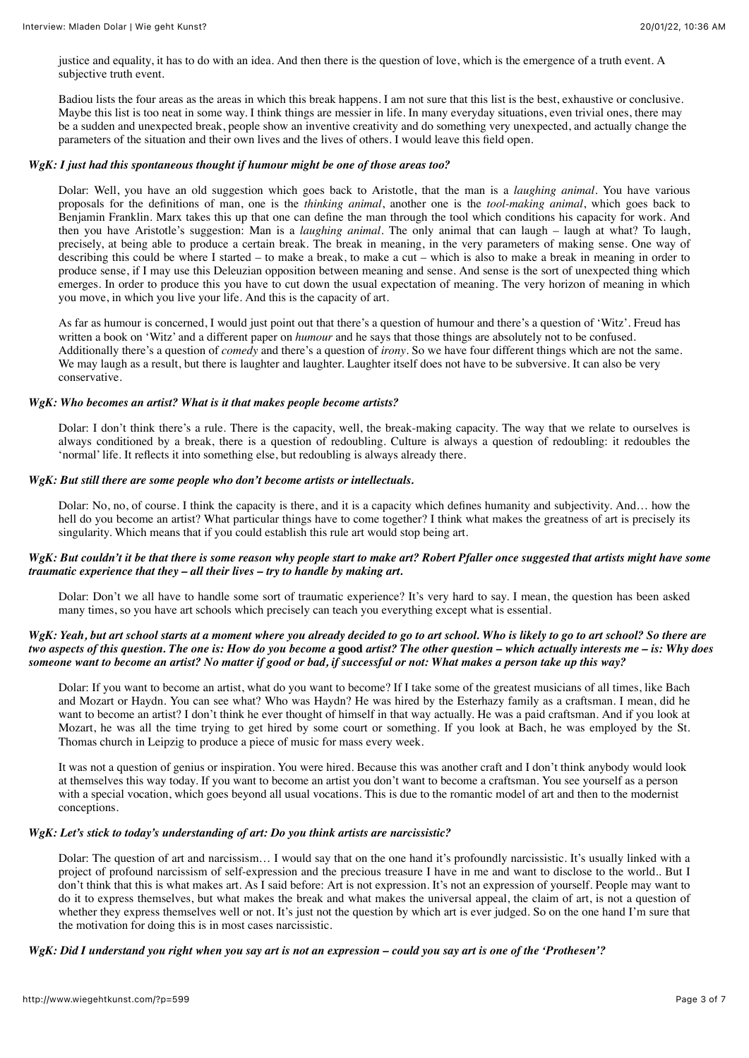justice and equality, it has to do with an idea. And then there is the question of love, which is the emergence of a truth event. A subjective truth event.

Badiou lists the four areas as the areas in which this break happens. I am not sure that this list is the best, exhaustive or conclusive. Maybe this list is too neat in some way. I think things are messier in life. In many everyday situations, even trivial ones, there may be a sudden and unexpected break, people show an inventive creativity and do something very unexpected, and actually change the parameters of the situation and their own lives and the lives of others. I would leave this field open.

#### *WgK: I just had this spontaneous thought if humour might be one of those areas too?*

Dolar: Well, you have an old suggestion which goes back to Aristotle, that the man is a *laughing animal*. You have various proposals for the definitions of man, one is the *thinking animal*, another one is the *tool-making animal*, which goes back to Benjamin Franklin. Marx takes this up that one can define the man through the tool which conditions his capacity for work. And then you have Aristotle's suggestion: Man is a *laughing animal*. The only animal that can laugh – laugh at what? To laugh, precisely, at being able to produce a certain break. The break in meaning, in the very parameters of making sense. One way of describing this could be where I started – to make a break, to make a cut – which is also to make a break in meaning in order to produce sense, if I may use this Deleuzian opposition between meaning and sense. And sense is the sort of unexpected thing which emerges. In order to produce this you have to cut down the usual expectation of meaning. The very horizon of meaning in which you move, in which you live your life. And this is the capacity of art.

As far as humour is concerned, I would just point out that there's a question of humour and there's a question of 'Witz'. Freud has written a book on 'Witz' and a different paper on *humour* and he says that those things are absolutely not to be confused. Additionally there's a question of *comedy* and there's a question of *irony*. So we have four different things which are not the same. We may laugh as a result, but there is laughter and laughter. Laughter itself does not have to be subversive. It can also be very conservative.

#### *WgK: Who becomes an artist? What is it that makes people become artists?*

Dolar: I don't think there's a rule. There is the capacity, well, the break-making capacity. The way that we relate to ourselves is always conditioned by a break, there is a question of redoubling. Culture is always a question of redoubling: it redoubles the 'normal' life. It reflects it into something else, but redoubling is always already there.

#### *WgK: But still there are some people who don't become artists or intellectuals.*

Dolar: No, no, of course. I think the capacity is there, and it is a capacity which defines humanity and subjectivity. And… how the hell do you become an artist? What particular things have to come together? I think what makes the greatness of art is precisely its singularity. Which means that if you could establish this rule art would stop being art.

## *WgK: But couldn't it be that there is some reason why people start to make art? Robert Pfaller once suggested that artists might have some traumatic experience that they – all their lives – try to handle by making art.*

Dolar: Don't we all have to handle some sort of traumatic experience? It's very hard to say. I mean, the question has been asked many times, so you have art schools which precisely can teach you everything except what is essential.

## *WgK: Yeah, but art school starts at a moment where you already decided to go to art school. Who is likely to go to art school? So there are two aspects of this question. The one is: How do you become a* **good** *artist? The other question – which actually interests me – is: Why does someone want to become an artist? No matter if good or bad, if successful or not: What makes a person take up this way?*

Dolar: If you want to become an artist, what do you want to become? If I take some of the greatest musicians of all times, like Bach and Mozart or Haydn. You can see what? Who was Haydn? He was hired by the Esterhazy family as a craftsman. I mean, did he want to become an artist? I don't think he ever thought of himself in that way actually. He was a paid craftsman. And if you look at Mozart, he was all the time trying to get hired by some court or something. If you look at Bach, he was employed by the St. Thomas church in Leipzig to produce a piece of music for mass every week.

It was not a question of genius or inspiration. You were hired. Because this was another craft and I don't think anybody would look at themselves this way today. If you want to become an artist you don't want to become a craftsman. You see yourself as a person with a special vocation, which goes beyond all usual vocations. This is due to the romantic model of art and then to the modernist conceptions.

#### *WgK: Let's stick to today's understanding of art: Do you think artists are narcissistic?*

Dolar: The question of art and narcissism… I would say that on the one hand it's profoundly narcissistic. It's usually linked with a project of profound narcissism of self-expression and the precious treasure I have in me and want to disclose to the world.. But I don't think that this is what makes art. As I said before: Art is not expression. It's not an expression of yourself. People may want to do it to express themselves, but what makes the break and what makes the universal appeal, the claim of art, is not a question of whether they express themselves well or not. It's just not the question by which art is ever judged. So on the one hand I'm sure that the motivation for doing this is in most cases narcissistic.

#### *WgK: Did I understand you right when you say art is not an expression – could you say art is one of the 'Prothesen'?*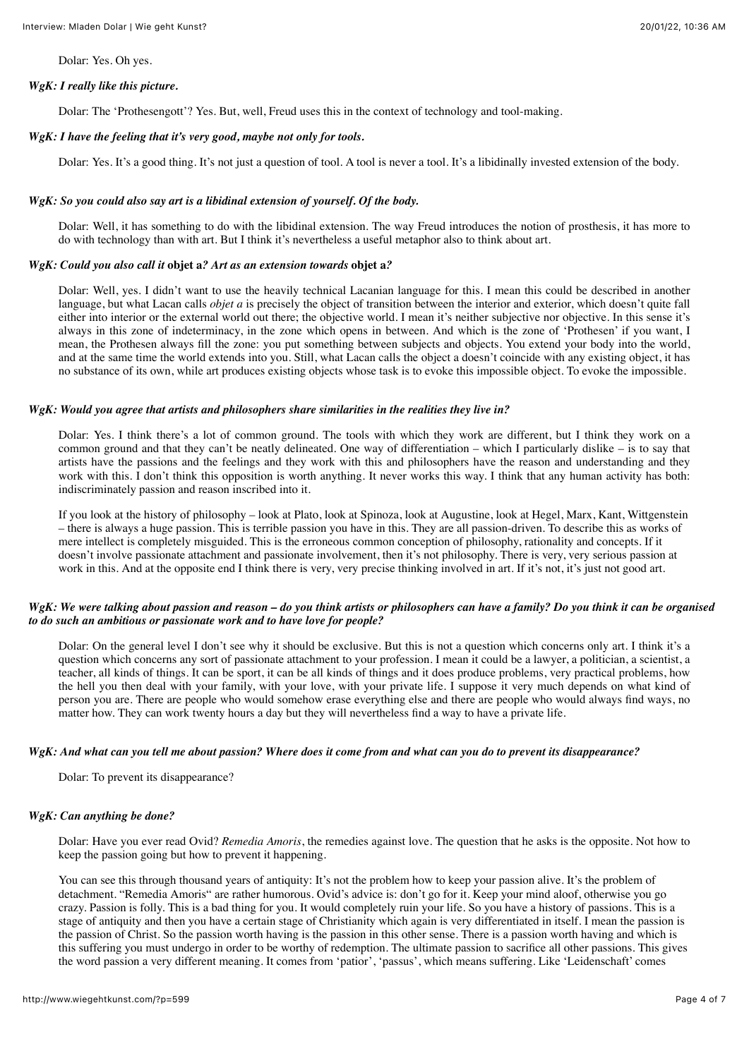Dolar: Yes. Oh yes.

## *WgK: I really like this picture.*

Dolar: The 'Prothesengott'? Yes. But, well, Freud uses this in the context of technology and tool-making.

#### *WgK: I have the feeling that it's very good, maybe not only for tools.*

Dolar: Yes. It's a good thing. It's not just a question of tool. A tool is never a tool. It's a libidinally invested extension of the body.

### *WgK: So you could also say art is a libidinal extension of yourself. Of the body.*

Dolar: Well, it has something to do with the libidinal extension. The way Freud introduces the notion of prosthesis, it has more to do with technology than with art. But I think it's nevertheless a useful metaphor also to think about art.

#### *WgK: Could you also call it* **objet a***? Art as an extension towards* **objet a***?*

Dolar: Well, yes. I didn't want to use the heavily technical Lacanian language for this. I mean this could be described in another language, but what Lacan calls *objet a* is precisely the object of transition between the interior and exterior, which doesn't quite fall either into interior or the external world out there; the objective world. I mean it's neither subjective nor objective. In this sense it's always in this zone of indeterminacy, in the zone which opens in between. And which is the zone of 'Prothesen' if you want, I mean, the Prothesen always fill the zone: you put something between subjects and objects. You extend your body into the world, and at the same time the world extends into you. Still, what Lacan calls the object a doesn't coincide with any existing object, it has no substance of its own, while art produces existing objects whose task is to evoke this impossible object. To evoke the impossible.

#### *WgK: Would you agree that artists and philosophers share similarities in the realities they live in?*

Dolar: Yes. I think there's a lot of common ground. The tools with which they work are different, but I think they work on a common ground and that they can't be neatly delineated. One way of differentiation – which I particularly dislike – is to say that artists have the passions and the feelings and they work with this and philosophers have the reason and understanding and they work with this. I don't think this opposition is worth anything. It never works this way. I think that any human activity has both: indiscriminately passion and reason inscribed into it.

If you look at the history of philosophy – look at Plato, look at Spinoza, look at Augustine, look at Hegel, Marx, Kant, Wittgenstein – there is always a huge passion. This is terrible passion you have in this. They are all passion-driven. To describe this as works of mere intellect is completely misguided. This is the erroneous common conception of philosophy, rationality and concepts. If it doesn't involve passionate attachment and passionate involvement, then it's not philosophy. There is very, very serious passion at work in this. And at the opposite end I think there is very, very precise thinking involved in art. If it's not, it's just not good art.

## *WgK: We were talking about passion and reason – do you think artists or philosophers can have a family? Do you think it can be organised to do such an ambitious or passionate work and to have love for people?*

Dolar: On the general level I don't see why it should be exclusive. But this is not a question which concerns only art. I think it's a question which concerns any sort of passionate attachment to your profession. I mean it could be a lawyer, a politician, a scientist, a teacher, all kinds of things. It can be sport, it can be all kinds of things and it does produce problems, very practical problems, how the hell you then deal with your family, with your love, with your private life. I suppose it very much depends on what kind of person you are. There are people who would somehow erase everything else and there are people who would always find ways, no matter how. They can work twenty hours a day but they will nevertheless find a way to have a private life.

### *WgK: And what can you tell me about passion? Where does it come from and what can you do to prevent its disappearance?*

Dolar: To prevent its disappearance?

## *WgK: Can anything be done?*

Dolar: Have you ever read Ovid? *Remedia Amoris*, the remedies against love. The question that he asks is the opposite. Not how to keep the passion going but how to prevent it happening.

You can see this through thousand years of antiquity: It's not the problem how to keep your passion alive. It's the problem of detachment. "Remedia Amoris" are rather humorous. Ovid's advice is: don't go for it. Keep your mind aloof, otherwise you go crazy. Passion is folly. This is a bad thing for you. It would completely ruin your life. So you have a history of passions. This is a stage of antiquity and then you have a certain stage of Christianity which again is very differentiated in itself. I mean the passion is the passion of Christ. So the passion worth having is the passion in this other sense. There is a passion worth having and which is this suffering you must undergo in order to be worthy of redemption. The ultimate passion to sacrifice all other passions. This gives the word passion a very different meaning. It comes from 'patior', 'passus', which means suffering. Like 'Leidenschaft' comes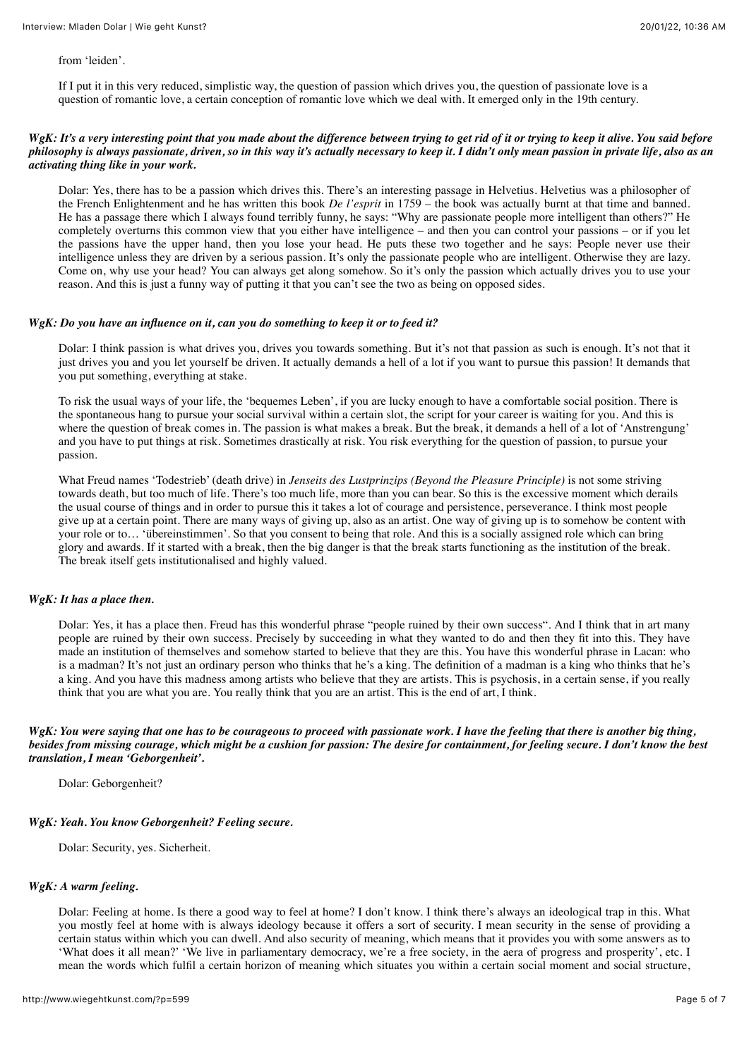from 'leiden'.

If I put it in this very reduced, simplistic way, the question of passion which drives you, the question of passionate love is a question of romantic love, a certain conception of romantic love which we deal with. It emerged only in the 19th century.

## *WgK: It's a very interesting point that you made about the difference between trying to get rid of it or trying to keep it alive. You said before philosophy is always passionate, driven, so in this way it's actually necessary to keep it. I didn't only mean passion in private life, also as an activating thing like in your work.*

Dolar: Yes, there has to be a passion which drives this. There's an interesting passage in Helvetius. Helvetius was a philosopher of the French Enlightenment and he has written this book *De l'esprit* in 1759 – the book was actually burnt at that time and banned. He has a passage there which I always found terribly funny, he says: "Why are passionate people more intelligent than others?" He completely overturns this common view that you either have intelligence – and then you can control your passions – or if you let the passions have the upper hand, then you lose your head. He puts these two together and he says: People never use their intelligence unless they are driven by a serious passion. It's only the passionate people who are intelligent. Otherwise they are lazy. Come on, why use your head? You can always get along somehow. So it's only the passion which actually drives you to use your reason. And this is just a funny way of putting it that you can't see the two as being on opposed sides.

#### *WgK: Do you have an influence on it, can you do something to keep it or to feed it?*

Dolar: I think passion is what drives you, drives you towards something. But it's not that passion as such is enough. It's not that it just drives you and you let yourself be driven. It actually demands a hell of a lot if you want to pursue this passion! It demands that you put something, everything at stake.

To risk the usual ways of your life, the 'bequemes Leben', if you are lucky enough to have a comfortable social position. There is the spontaneous hang to pursue your social survival within a certain slot, the script for your career is waiting for you. And this is where the question of break comes in. The passion is what makes a break. But the break, it demands a hell of a lot of 'Anstrengung' and you have to put things at risk. Sometimes drastically at risk. You risk everything for the question of passion, to pursue your passion.

What Freud names 'Todestrieb' (death drive) in *Jenseits des Lustprinzips (Beyond the Pleasure Principle)* is not some striving towards death, but too much of life. There's too much life, more than you can bear. So this is the excessive moment which derails the usual course of things and in order to pursue this it takes a lot of courage and persistence, perseverance. I think most people give up at a certain point. There are many ways of giving up, also as an artist. One way of giving up is to somehow be content with your role or to… 'übereinstimmen'. So that you consent to being that role. And this is a socially assigned role which can bring glory and awards. If it started with a break, then the big danger is that the break starts functioning as the institution of the break. The break itself gets institutionalised and highly valued.

## *WgK: It has a place then.*

Dolar: Yes, it has a place then. Freud has this wonderful phrase "people ruined by their own success". And I think that in art many people are ruined by their own success. Precisely by succeeding in what they wanted to do and then they fit into this. They have made an institution of themselves and somehow started to believe that they are this. You have this wonderful phrase in Lacan: who is a madman? It's not just an ordinary person who thinks that he's a king. The definition of a madman is a king who thinks that he's a king. And you have this madness among artists who believe that they are artists. This is psychosis, in a certain sense, if you really think that you are what you are. You really think that you are an artist. This is the end of art, I think.

*WgK: You were saying that one has to be courageous to proceed with passionate work. I have the feeling that there is another big thing, besides from missing courage, which might be a cushion for passion: The desire for containment, for feeling secure. I don't know the best translation, I mean 'Geborgenheit'.*

Dolar: Geborgenheit?

## *WgK: Yeah. You know Geborgenheit? Feeling secure.*

Dolar: Security, yes. Sicherheit.

## *WgK: A warm feeling.*

Dolar: Feeling at home. Is there a good way to feel at home? I don't know. I think there's always an ideological trap in this. What you mostly feel at home with is always ideology because it offers a sort of security. I mean security in the sense of providing a certain status within which you can dwell. And also security of meaning, which means that it provides you with some answers as to 'What does it all mean?' 'We live in parliamentary democracy, we're a free society, in the aera of progress and prosperity', etc. I mean the words which fulfil a certain horizon of meaning which situates you within a certain social moment and social structure,